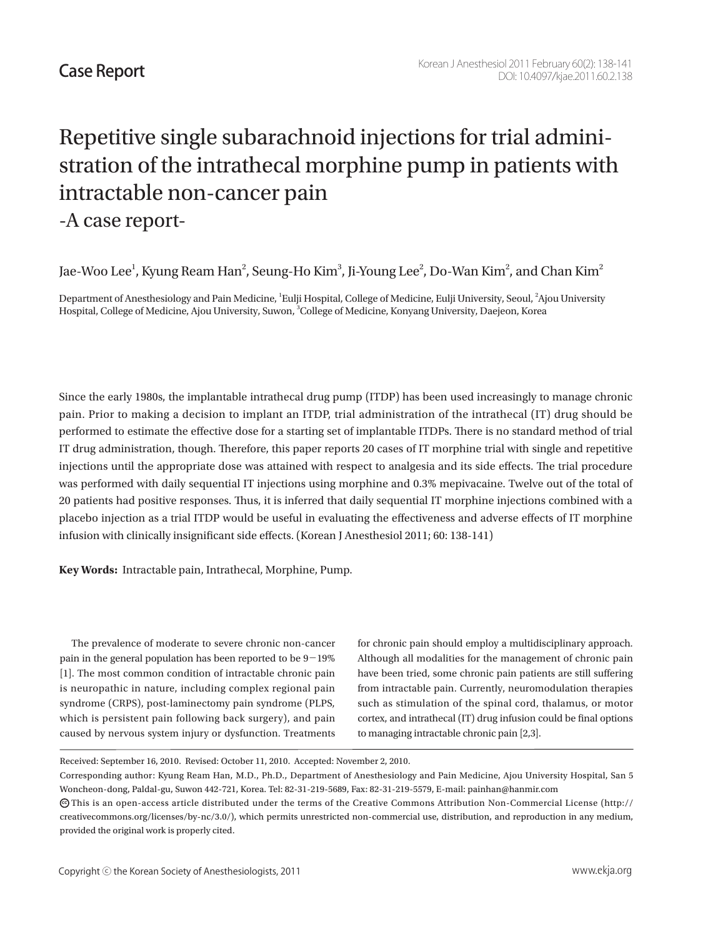## Repetitive single subarachnoid injections for trial administration of the intrathecal morphine pump in patients with intractable non-cancer pain -A case report-

Jae-Woo Lee $^{\rm l}$ , Kyung Ream Han $^{\rm 2}$ , Seung-Ho Kim $^{\rm 3}$ , Ji-Young Lee $^{\rm 2}$ , Do-Wan Kim $^{\rm 2}$ , and Chan Kim $^{\rm 2}$ 

Department of Anesthesiology and Pain Medicine, <sup>1</sup>Eulji Hospital, College of Medicine, Eulji University, Seoul, <sup>2</sup>Ajou University Hospital, College of Medicine, Ajou University, Suwon, <sup>3</sup>College of Medicine, Konyang University, Daejeon, Korea

Since the early 1980s, the implantable intrathecal drug pump (ITDP) has been used increasingly to manage chronic pain. Prior to making a decision to implant an ITDP, trial administration of the intrathecal (IT) drug should be performed to estimate the effective dose for a starting set of implantable ITDPs. There is no standard method of trial IT drug administration, though. Therefore, this paper reports 20 cases of IT morphine trial with single and repetitive injections until the appropriate dose was attained with respect to analgesia and its side effects. The trial procedure was performed with daily sequential IT injections using morphine and 0.3% mepivacaine. Twelve out of the total of 20 patients had positive responses. Thus, it is inferred that daily sequential IT morphine injections combined with a placebo injection as a trial ITDP would be useful in evaluating the effectiveness and adverse effects of IT morphine infusion with clinically insignificant side effects. (Korean J Anesthesiol 2011; 60: 138-141)

**Key Words:** Intractable pain, Intrathecal, Morphine, Pump.

 The prevalence of moderate to severe chronic non-cancer pain in the general population has been reported to be  $9-19\%$ [1]. The most common condition of intractable chronic pain is neuropathic in nature, including complex regional pain syndrome (CRPS), post-laminectomy pain syndrome (PLPS, which is persistent pain following back surgery), and pain caused by nervous system injury or dysfunction. Treatments

for chronic pain should employ a multidisciplinary approach. Although all modalities for the management of chronic pain have been tried, some chronic pain patients are still suffering from intractable pain. Currently, neuromodulation therapies such as stimulation of the spinal cord, thalamus, or motor cortex, and intrathecal (IT) drug infusion could be final options to managing intractable chronic pain [2,3].

Received: September 16, 2010. Revised: October 11, 2010. Accepted: November 2, 2010.

Corresponding author: Kyung Ream Han, M.D., Ph.D., Department of Anesthesiology and Pain Medicine, Ajou University Hospital, San 5 Woncheon-dong, Paldal-gu, Suwon 442-721, Korea. Tel: 82-31-219-5689, Fax: 82-31-219-5579, E-mail: painhan@hanmir.com

 $\bm{\odot}$ This is an open-access article distributed under the terms of the Creative Commons Attribution Non-Commercial License (http:// creativecommons.org/licenses/by-nc/3.0/), which permits unrestricted non-commercial use, distribution, and reproduction in any medium, provided the original work is properly cited.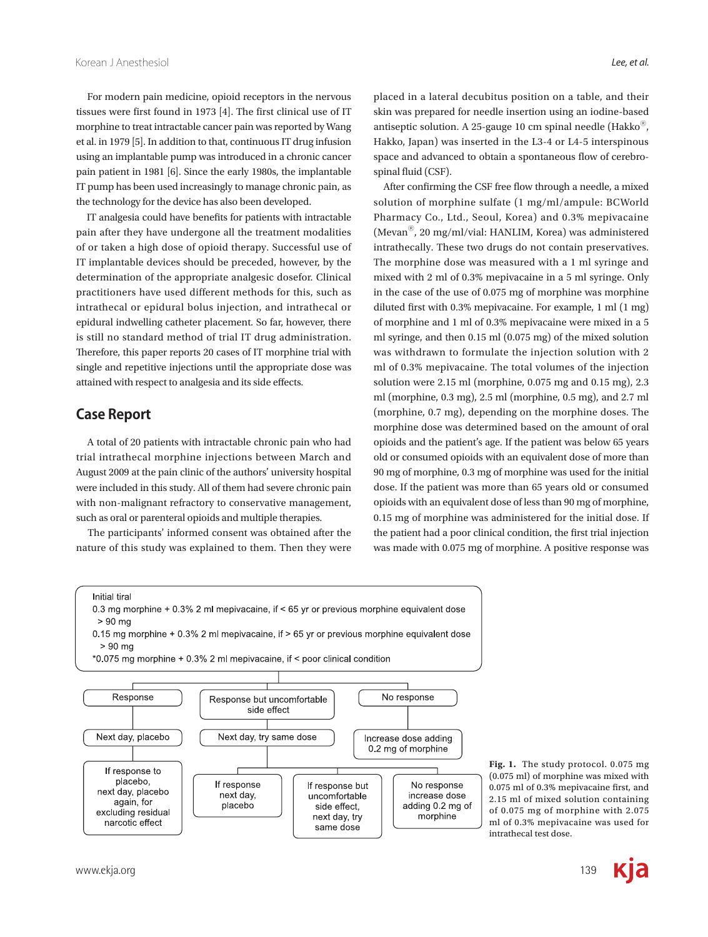For modern pain medicine, opioid receptors in the nervous tissues were first found in 1973 [4]. The first clinical use of IT morphine to treat intractable cancer pain was reported by Wang et al. in 1979 [5]. In addition to that, continuous IT drug infusion using an implantable pump was introduced in a chronic cancer pain patient in 1981 [6]. Since the early 1980s, the implantable IT pump has been used increasingly to manage chronic pain, as the technology for the device has also been developed.

 IT analgesia could have benefits for patients with intractable pain after they have undergone all the treatment modalities of or taken a high dose of opioid therapy. Successful use of IT implantable devices should be preceded, however, by the determination of the appropriate analgesic dosefor. Clinical practitioners have used different methods for this, such as intrathecal or epidural bolus injection, and intrathecal or epidural indwelling catheter placement. So far, however, there is still no standard method of trial IT drug administration. Therefore, this paper reports 20 cases of IT morphine trial with single and repetitive injections until the appropriate dose was attained with respect to analgesia and its side effects.

## **Case Report**

 A total of 20 patients with intractable chronic pain who had trial intrathecal morphine injections between March and August 2009 at the pain clinic of the authors' university hospital were included in this study. All of them had severe chronic pain with non-malignant refractory to conservative management, such as oral or parenteral opioids and multiple therapies.

 The participants' informed consent was obtained after the nature of this study was explained to them. Then they were placed in a lateral decubitus position on a table, and their skin was prepared for needle insertion using an iodine-based antiseptic solution. A 25-gauge 10 cm spinal needle (Hakko $^{\circ}$ ), Hakko, Japan) was inserted in the L3-4 or L4-5 interspinous space and advanced to obtain a spontaneous flow of cerebrospinal fluid (CSF).

 After confirming the CSF free flow through a needle, a mixed solution of morphine sulfate (1 mg/ml/ampule: BCWorld Pharmacy Co., Ltd., Seoul, Korea) and 0.3% mepivacaine (MevanⓇ, 20 mg/ml/vial: HANLIM, Korea) was administered intrathecally. These two drugs do not contain preservatives. The morphine dose was measured with a 1 ml syringe and mixed with 2 ml of 0.3% mepivacaine in a 5 ml syringe. Only in the case of the use of 0.075 mg of morphine was morphine diluted first with 0.3% mepivacaine. For example, 1 ml (1 mg) of morphine and 1 ml of 0.3% mepivacaine were mixed in a 5 ml syringe, and then 0.15 ml (0.075 mg) of the mixed solution was withdrawn to formulate the injection solution with 2 ml of 0.3% mepivacaine. The total volumes of the injection solution were 2.15 ml (morphine, 0.075 mg and 0.15 mg), 2.3 ml (morphine, 0.3 mg), 2.5 ml (morphine, 0.5 mg), and 2.7 ml (morphine, 0.7 mg), depending on the morphine doses. The morphine dose was determined based on the amount of oral opioids and the patient's age. If the patient was below 65 years old or consumed opioids with an equivalent dose of more than 90 mg of morphine, 0.3 mg of morphine was used for the initial dose. If the patient was more than 65 years old or consumed opioids with an equivalent dose of less than 90 mg of morphine, 0.15 mg of morphine was administered for the initial dose. If the patient had a poor clinical condition, the first trial injection was made with 0.075 mg of morphine. A positive response was







**Fig. 1.** The study protocol. 0.075 mg (0.075 ml) of morphine was mixed with 0.075 ml of 0.3% mepivacaine first, and 2.15 ml of mixed solution containing of 0.075 mg of morphine with 2.075 ml of 0.3% mepivacaine was used for intrathecal test dose.

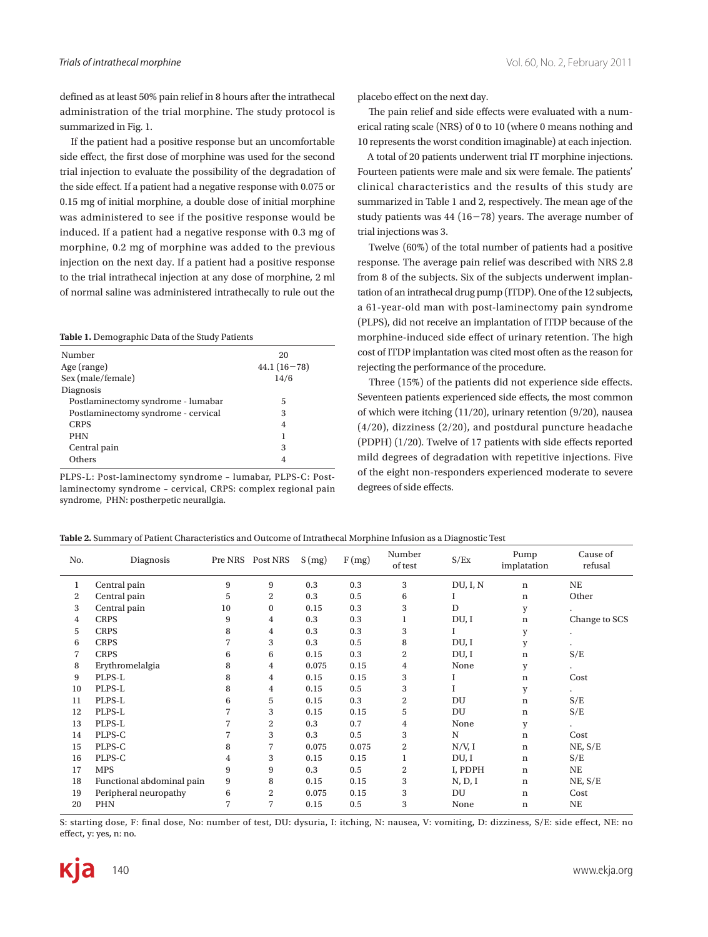defined as at least 50% pain relief in 8 hours after the intrathecal administration of the trial morphine. The study protocol is summarized in Fig. 1.

 If the patient had a positive response but an uncomfortable side effect, the first dose of morphine was used for the second trial injection to evaluate the possibility of the degradation of the side effect. If a patient had a negative response with 0.075 or 0.15 mg of initial morphine, a double dose of initial morphine was administered to see if the positive response would be induced. If a patient had a negative response with 0.3 mg of morphine, 0.2 mg of morphine was added to the previous injection on the next day. If a patient had a positive response to the trial intrathecal injection at any dose of morphine, 2 ml of normal saline was administered intrathecally to rule out the

**Table 1.** Demographic Data of the Study Patients

| Number                              | 20            |
|-------------------------------------|---------------|
| Age (range)                         | $44.1(16-78)$ |
| Sex (male/female)                   | 14/6          |
| Diagnosis                           |               |
| Postlaminectomy syndrome - lumabar  | 5             |
| Postlaminectomy syndrome - cervical | 3             |
| <b>CRPS</b>                         | 4             |
| <b>PHN</b>                          |               |
| Central pain                        | 3             |
| Others                              | 4             |
|                                     |               |

PLPS-L: Post-laminectomy syndrome - lumabar, PLPS-C: Postlaminectomy syndrome – cervical, CRPS: complex regional pain syndrome, PHN: postherpetic neurallgia.

placebo effect on the next day.

 The pain relief and side effects were evaluated with a numerical rating scale (NRS) of 0 to 10 (where 0 means nothing and 10 represents the worst condition imaginable) at each injection.

 A total of 20 patients underwent trial IT morphine injections. Fourteen patients were male and six were female. The patients' clinical characteristics and the results of this study are summarized in Table 1 and 2, respectively. The mean age of the study patients was  $44$  (16-78) years. The average number of trial injections was 3.

 Twelve (60%) of the total number of patients had a positive response. The average pain relief was described with NRS 2.8 from 8 of the subjects. Six of the subjects underwent implantation of an intrathecal drug pump (ITDP). One of the 12 subjects, a 61-year-old man with post-laminectomy pain syndrome (PLPS), did not receive an implantation of ITDP because of the morphine-induced side effect of urinary retention. The high cost of ITDP implantation was cited most often as the reason for rejecting the performance of the procedure.

 Three (15%) of the patients did not experience side effects. Seventeen patients experienced side effects, the most common of which were itching (11/20), urinary retention (9/20), nausea (4/20), dizziness (2/20), and postdural puncture headache (PDPH) (1/20). Twelve of 17 patients with side effects reported mild degrees of degradation with repetitive injections. Five of the eight non-responders experienced moderate to severe degrees of side effects.

| No. | Diagnosis                 |    | Pre NRS Post NRS | S(mg) | F(mg) | Number<br>of test | S/Ex     | Pump<br>implatation | Cause of<br>refusal  |
|-----|---------------------------|----|------------------|-------|-------|-------------------|----------|---------------------|----------------------|
| 1   | Central pain              | 9  | 9                | 0.3   | 0.3   | 3                 | DU, I, N | n                   | NE                   |
| 2   | Central pain              | 5  | $\overline{c}$   | 0.3   | 0.5   | 6                 |          | n                   | Other                |
| 3   | Central pain              | 10 | $\bf{0}$         | 0.15  | 0.3   | 3                 | D        | y                   |                      |
| 4   | <b>CRPS</b>               | 9  | 4                | 0.3   | 0.3   |                   | DU, I    | n                   | Change to SCS        |
| 5   | <b>CRPS</b>               | 8  | 4                | 0.3   | 0.3   | 3                 |          | y                   |                      |
| 6   | <b>CRPS</b>               |    | 3                | 0.3   | 0.5   | 8                 | DU, I    | y                   |                      |
| 7   | <b>CRPS</b>               | 6  | 6                | 0.15  | 0.3   | 2                 | DU, I    | n                   | S/E                  |
| 8   | Erythromelalgia           | 8  | 4                | 0.075 | 0.15  | 4                 | None     | y                   |                      |
| 9   | PLPS-L                    | 8  | 4                | 0.15  | 0.15  | 3                 | L        | n                   | Cost                 |
| 10  | PLPS-L                    | 8  | 4                | 0.15  | 0.5   | 3                 |          | y                   |                      |
| 11  | PLPS-L                    | 6  | 5                | 0.15  | 0.3   | 2                 | DU       | n                   | S/E                  |
| 12  | PLPS-L                    |    | 3                | 0.15  | 0.15  | 5                 | DU       | n                   | S/E                  |
| 13  | PLPS-L                    |    | $\overline{c}$   | 0.3   | 0.7   | 4                 | None     | y                   | $\ddot{\phantom{0}}$ |
| 14  | PLPS-C                    |    | 3                | 0.3   | 0.5   | 3                 | N        | n                   | Cost                 |
| 15  | PLPS-C                    | 8  |                  | 0.075 | 0.075 | 2                 | N/V, I   | n                   | NE, S/E              |
| 16  | PLPS-C                    | 4  | 3                | 0.15  | 0.15  |                   | DU, I    | n                   | S/E                  |
| 17  | <b>MPS</b>                | 9  | 9                | 0.3   | 0.5   | 2                 | I, PDPH  | n                   | NE                   |
| 18  | Functional abdominal pain | 9  | 8                | 0.15  | 0.15  | 3                 | N, D, I  | $\mathbf n$         | NE, S/E              |
| 19  | Peripheral neuropathy     | 6  | $\overline{c}$   | 0.075 | 0.15  | 3                 | DU       | n                   | Cost                 |
| 20  | PHN                       |    | $\overline{7}$   | 0.15  | 0.5   | 3                 | None     | n                   | $_{\rm NE}$          |

**Table 2.** Summary of Patient Characteristics and Outcome of Intrathecal Morphine Infusion as a Diagnostic Test

S: starting dose, F: final dose, No: number of test, DU: dysuria, I: itching, N: nausea, V: vomiting, D: dizziness, S/E: side effect, NE: no effect, y: yes, n: no.